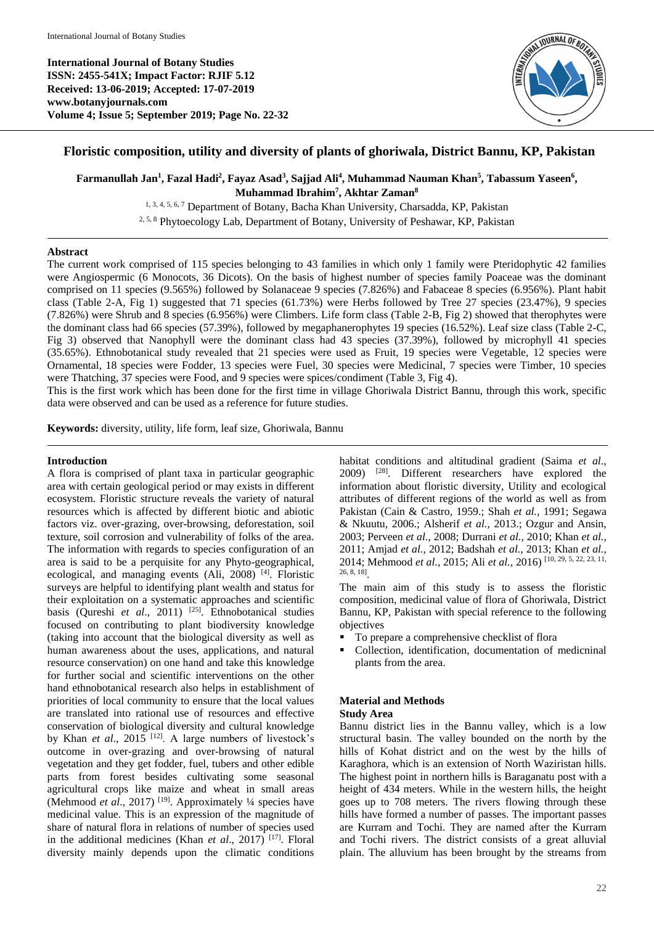**International Journal of Botany Studies ISSN: 2455-541X; Impact Factor: RJIF 5.12 Received: 13-06-2019; Accepted: 17-07-2019 www.botanyjournals.com Volume 4; Issue 5; September 2019; Page No. 22-32**



# **Floristic composition, utility and diversity of plants of ghoriwala, District Bannu, KP, Pakistan**

 $\bf{F}$ armanullah Jan<sup>1</sup>, Fazal Hadi<sup>2</sup>, Fayaz Asad<sup>3</sup>, Sajjad Ali<sup>4</sup>, Muhammad Nauman Khan<sup>5</sup>, Tabassum Yaseen<sup>6</sup>, **Muhammad Ibrahim<sup>7</sup> , Akhtar Zaman<sup>8</sup>**

1, 3, 4, 5, 6, 7 Department of Botany, Bacha Khan University, Charsadda, KP, Pakistan 2, 5, 8 Phytoecology Lab, Department of Botany, University of Peshawar, KP, Pakistan

### **Abstract**

The current work comprised of 115 species belonging to 43 families in which only 1 family were Pteridophytic 42 families were Angiospermic (6 Monocots, 36 Dicots). On the basis of highest number of species family Poaceae was the dominant comprised on 11 species (9.565%) followed by Solanaceae 9 species (7.826%) and Fabaceae 8 species (6.956%). Plant habit class (Table 2-A, Fig 1) suggested that 71 species (61.73%) were Herbs followed by Tree 27 species (23.47%), 9 species (7.826%) were Shrub and 8 species (6.956%) were Climbers. Life form class (Table 2-B, Fig 2) showed that therophytes were the dominant class had 66 species (57.39%), followed by megaphanerophytes 19 species (16.52%). Leaf size class (Table 2-C, Fig 3) observed that Nanophyll were the dominant class had 43 species (37.39%), followed by microphyll 41 species (35.65%). Ethnobotanical study revealed that 21 species were used as Fruit, 19 species were Vegetable, 12 species were Ornamental, 18 species were Fodder, 13 species were Fuel, 30 species were Medicinal, 7 species were Timber, 10 species were Thatching, 37 species were Food, and 9 species were spices/condiment (Table 3, Fig 4).

This is the first work which has been done for the first time in village Ghoriwala District Bannu, through this work, specific data were observed and can be used as a reference for future studies.

**Keywords:** diversity, utility, life form, leaf size, Ghoriwala, Bannu

#### **Introduction**

A flora is comprised of plant taxa in particular geographic area with certain geological period or may exists in different ecosystem. Floristic structure reveals the variety of natural resources which is affected by different biotic and abiotic factors viz. over-grazing, over-browsing, deforestation, soil texture, soil corrosion and vulnerability of folks of the area. The information with regards to species configuration of an area is said to be a perquisite for any Phyto-geographical, ecological, and managing events (Ali, 2008)<sup>[4]</sup>. Floristic surveys are helpful to identifying plant wealth and status for their exploitation on a systematic approaches and scientific basis (Qureshi et al., 2011)<sup>[25]</sup>. Ethnobotanical studies focused on contributing to plant biodiversity knowledge (taking into account that the biological diversity as well as human awareness about the uses, applications, and natural resource conservation) on one hand and take this knowledge for further social and scientific interventions on the other hand ethnobotanical research also helps in establishment of priorities of local community to ensure that the local values are translated into rational use of resources and effective conservation of biological diversity and cultural knowledge by Khan *et al.*, 2015<sup>[12]</sup>. A large numbers of livestock's outcome in over-grazing and over-browsing of natural vegetation and they get fodder, fuel, tubers and other edible parts from forest besides cultivating some seasonal agricultural crops like maize and wheat in small areas (Mehmood *et al.*, 2017)<sup>[19]</sup>. Approximately <sup>1</sup>/4 species have medicinal value. This is an expression of the magnitude of share of natural flora in relations of number of species used in the additional medicines (Khan *et al*., 2017) [17] . Floral diversity mainly depends upon the climatic conditions

habitat conditions and altitudinal gradient (Saima *et al*., 2009) [28] . Different researchers have explored the information about floristic diversity, Utility and ecological attributes of different regions of the world as well as from Pakistan (Cain & Castro, 1959.; Shah *et al.,* 1991; Segawa & Nkuutu, 2006.; Alsherif *et al.,* 2013.; Ozgur and Ansin, 2003; Perveen *et al.,* 2008; Durrani *et al.,* 2010; Khan *et al.,*  2011; Amjad *et al.,* 2012; Badshah *et al.,* 2013; Khan *et al.,*  2014; Mehmood *et al.,* 2015; Ali *et al.,* 2016) [10, 29, 5, 22, 23, 11, 26, 8, 18] .

The main aim of this study is to assess the floristic composition, medicinal value of flora of Ghoriwala, District Bannu, KP, Pakistan with special reference to the following objectives

- To prepare a comprehensive checklist of flora
- Collection, identification, documentation of medicninal plants from the area.

## **Material and Methods**

#### **Study Area**

Bannu district lies in the Bannu valley, which is a low structural basin. The valley bounded on the north by the hills of Kohat district and on the west by the hills of Karaghora, which is an extension of North Waziristan hills. The highest point in northern hills is Baraganatu post with a height of 434 meters. While in the western hills, the height goes up to 708 meters. The rivers flowing through these hills have formed a number of passes. The important passes are Kurram and Tochi. They are named after the Kurram and Tochi rivers. The district consists of a great alluvial plain. The alluvium has been brought by the streams from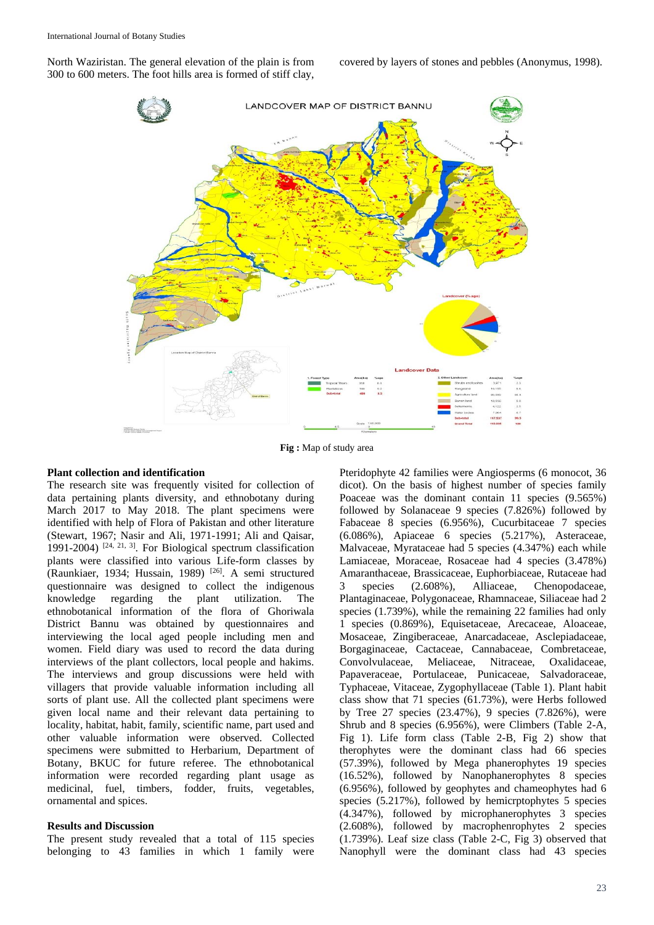North Waziristan. The general elevation of the plain is from 300 to 600 meters. The foot hills area is formed of stiff clay,

covered by layers of stones and pebbles (Anonymus, 1998).



**Fig :** Map of study area

#### **Plant collection and identification**

The research site was frequently visited for collection of data pertaining plants diversity, and ethnobotany during March 2017 to May 2018. The plant specimens were identified with help of Flora of Pakistan and other literature (Stewart, 1967; Nasir and Ali, 1971-1991; Ali and Qaisar, 1991-2004)  $[24, 21, 3]$ . For Biological spectrum classification plants were classified into various Life-form classes by (Raunkiaer, 1934; Hussain, 1989) [26] . A semi structured questionnaire was designed to collect the indigenous knowledge regarding the plant utilization. The ethnobotanical information of the flora of Ghoriwala District Bannu was obtained by questionnaires and interviewing the local aged people including men and women. Field diary was used to record the data during interviews of the plant collectors, local people and hakims. The interviews and group discussions were held with villagers that provide valuable information including all sorts of plant use. All the collected plant specimens were given local name and their relevant data pertaining to locality, habitat, habit, family, scientific name, part used and other valuable information were observed. Collected specimens were submitted to Herbarium, Department of Botany, BKUC for future referee. The ethnobotanical information were recorded regarding plant usage as medicinal, fuel, timbers, fodder, fruits, vegetables, ornamental and spices.

#### **Results and Discussion**

The present study revealed that a total of 115 species belonging to 43 families in which 1 family were

Pteridophyte 42 families were Angiosperms (6 monocot, 36 dicot). On the basis of highest number of species family Poaceae was the dominant contain 11 species (9.565%) followed by Solanaceae 9 species (7.826%) followed by Fabaceae 8 species (6.956%), Cucurbitaceae 7 species (6.086%), Apiaceae 6 species (5.217%), Asteraceae, Malvaceae, Myrataceae had 5 species (4.347%) each while Lamiaceae, Moraceae, Rosaceae had 4 species (3.478%) Amaranthaceae, Brassicaceae, Euphorbiaceae, Rutaceae had 3 species (2.608%), Alliaceae, Chenopodaceae, Plantaginaceae, Polygonaceae, Rhamnaceae, Siliaceae had 2 species (1.739%), while the remaining 22 families had only 1 species (0.869%), Equisetaceae, Arecaceae, Aloaceae, Mosaceae, Zingiberaceae, Anarcadaceae, Asclepiadaceae, Borgaginaceae, Cactaceae, Cannabaceae, Combretaceae, Convolvulaceae, Meliaceae, Nitraceae, Oxalidaceae, Papaveraceae, Portulaceae, Punicaceae, Salvadoraceae, Typhaceae, Vitaceae, Zygophyllaceae (Table 1). Plant habit class show that 71 species (61.73%), were Herbs followed by Tree 27 species (23.47%), 9 species (7.826%), were Shrub and 8 species (6.956%), were Climbers (Table 2-A, Fig 1). Life form class (Table 2-B, Fig 2) show that therophytes were the dominant class had 66 species (57.39%), followed by Mega phanerophytes 19 species (16.52%), followed by Nanophanerophytes 8 species (6.956%), followed by geophytes and chameophytes had 6 species (5.217%), followed by hemicrptophytes 5 species (4.347%), followed by microphanerophytes 3 species (2.608%), followed by macrophenrophytes 2 species (1.739%). Leaf size class (Table 2-C, Fig 3) observed that Nanophyll were the dominant class had 43 species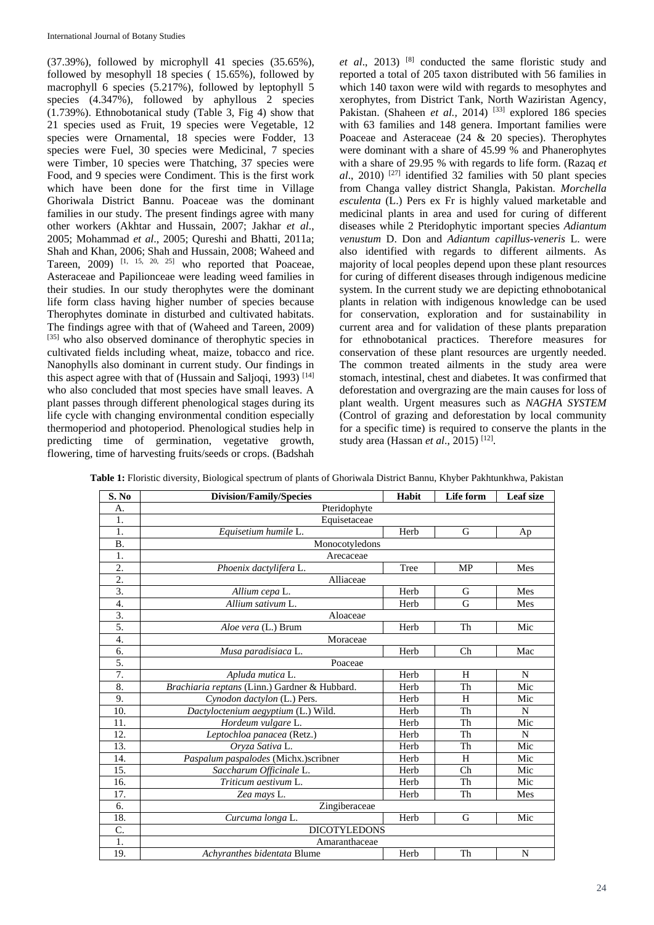$(37.39\%)$ , followed by microphyll 41 species  $(35.65\%)$ , followed by mesophyll 18 species ( 15.65%), followed by macrophyll 6 species (5.217%), followed by leptophyll 5 species (4.347%), followed by aphyllous 2 species (1.739%). Ethnobotanical study (Table 3, Fig 4) show that 21 species used as Fruit, 19 species were Vegetable, 12 species were Ornamental, 18 species were Fodder, 13 species were Fuel, 30 species were Medicinal, 7 species were Timber, 10 species were Thatching, 37 species were Food, and 9 species were Condiment. This is the first work which have been done for the first time in Village Ghoriwala District Bannu. Poaceae was the dominant families in our study. The present findings agree with many other workers (Akhtar and Hussain, 2007; Jakhar *et al*., 2005; Mohammad *et al*., 2005; Qureshi and Bhatti, 2011a; Shah and Khan, 2006; Shah and Hussain, 2008; Waheed and Tareen,  $2009$ )  $\left[1, 15, 20, 25\right]$  who reported that Poaceae, Asteraceae and Papilionceae were leading weed families in their studies. In our study therophytes were the dominant life form class having higher number of species because Therophytes dominate in disturbed and cultivated habitats. The findings agree with that of (Waheed and Tareen, 2009) [35] who also observed dominance of therophytic species in cultivated fields including wheat, maize, tobacco and rice. Nanophylls also dominant in current study. Our findings in this aspect agree with that of (Hussain and Saljoqi, 1993)<sup>[14]</sup> who also concluded that most species have small leaves. A plant passes through different phenological stages during its life cycle with changing environmental condition especially thermoperiod and photoperiod. Phenological studies help in predicting time of germination, vegetative growth, flowering, time of harvesting fruits/seeds or crops. (Badshah

et al., 2013) <sup>[8]</sup> conducted the same floristic study and reported a total of 205 taxon distributed with 56 families in which 140 taxon were wild with regards to mesophytes and xerophytes, from District Tank, North Waziristan Agency, Pakistan. (Shaheen *et al.*, 2014)<sup>[33]</sup> explored 186 species with 63 families and 148 genera. Important families were Poaceae and Asteraceae (24 & 20 species). Therophytes were dominant with a share of 45.99 % and Phanerophytes with a share of 29.95 % with regards to life form. (Razaq *et al*., 2010) [27] identified 32 families with 50 plant species from Changa valley district Shangla, Pakistan. *Morchella esculenta* (L.) Pers ex Fr is highly valued marketable and medicinal plants in area and used for curing of different diseases while 2 Pteridophytic important species *Adiantum venustum* D. Don and *Adiantum capillus-veneris* L. were also identified with regards to different ailments. As majority of local peoples depend upon these plant resources for curing of different diseases through indigenous medicine system. In the current study we are depicting ethnobotanical plants in relation with indigenous knowledge can be used for conservation, exploration and for sustainability in current area and for validation of these plants preparation for ethnobotanical practices. Therefore measures for conservation of these plant resources are urgently needed. The common treated ailments in the study area were stomach, intestinal, chest and diabetes. It was confirmed that deforestation and overgrazing are the main causes for loss of plant wealth. Urgent measures such as *NAGHA SYSTEM* (Control of grazing and deforestation by local community for a specific time) is required to conserve the plants in the study area (Hassan et al., 2015)<sup>[12]</sup>.

| S. No            | <b>Division/Family/Species</b>                | Habit | Life form | Leaf size |  |  |  |  |  |
|------------------|-----------------------------------------------|-------|-----------|-----------|--|--|--|--|--|
| А.               | Pteridophyte                                  |       |           |           |  |  |  |  |  |
| 1.               | Equisetaceae                                  |       |           |           |  |  |  |  |  |
| 1.               | Equisetium humile L.                          | Herb  | G         | Ap        |  |  |  |  |  |
| <b>B.</b>        | Monocotyledons                                |       |           |           |  |  |  |  |  |
| 1.               | Arecaceae                                     |       |           |           |  |  |  |  |  |
| 2.               | Phoenix dactylifera L.                        | Tree  | MP        | Mes       |  |  |  |  |  |
| $\overline{2}$ . | Alliaceae                                     |       |           |           |  |  |  |  |  |
| $\overline{3}$ . | Allium cepa L.                                | Herb  | G         | Mes       |  |  |  |  |  |
| 4.               | Allium sativum L.                             | Herb  | G         | Mes       |  |  |  |  |  |
| $\overline{3}$ . | Aloaceae                                      |       |           |           |  |  |  |  |  |
| 5.               | Aloe vera (L.) Brum                           | Herb  | Th        | Mic       |  |  |  |  |  |
| 4.               | Moraceae                                      |       |           |           |  |  |  |  |  |
| 6.               | Musa paradisiaca L.                           | Herb  | Ch        | Mac       |  |  |  |  |  |
| 5.               | Poaceae                                       |       |           |           |  |  |  |  |  |
| 7.               | Apluda mutica L.                              | Herb  | H         | N         |  |  |  |  |  |
| 8.               | Brachiaria reptans (Linn.) Gardner & Hubbard. | Herb  | Th        | Mic       |  |  |  |  |  |
| 9.               | Cynodon dactylon (L.) Pers.                   | Herb  | H         | Mic       |  |  |  |  |  |
| 10.              | Dactyloctenium aegyptium (L.) Wild.           | Herb  | Th        | N         |  |  |  |  |  |
| 11.              | Hordeum vulgare L.                            | Herb  | Th        | Mic       |  |  |  |  |  |
| 12.              | Leptochloa panacea (Retz.)                    | Herb  | Th        | N         |  |  |  |  |  |
| 13.              | Orvza Sativa L.                               | Herb  | Th        | Mic       |  |  |  |  |  |
| 14.              | Paspalum paspalodes (Michx.)scribner          | Herb  | H         | Mic       |  |  |  |  |  |
| 15.              | Saccharum Officinale L.                       | Herb  | Ch        | Mic       |  |  |  |  |  |
| 16.              | Triticum aestivum L.                          | Herb  | Th        | Mic       |  |  |  |  |  |
| 17.              | Zea mays L.                                   | Herb  | Th        | Mes       |  |  |  |  |  |
| 6.               | Zingiberaceae                                 |       |           |           |  |  |  |  |  |
| 18.              | Curcuma longa L.                              | Herb  | G         | Mic       |  |  |  |  |  |
| C.               | <b>DICOTYLEDONS</b>                           |       |           |           |  |  |  |  |  |
| 1.               | Amaranthaceae                                 |       |           |           |  |  |  |  |  |
| 19.              | Achyranthes bidentata Blume                   | Herb  | Th        | N         |  |  |  |  |  |

**Table 1:** Floristic diversity, Biological spectrum of plants of Ghoriwala District Bannu, Khyber Pakhtunkhwa, Pakistan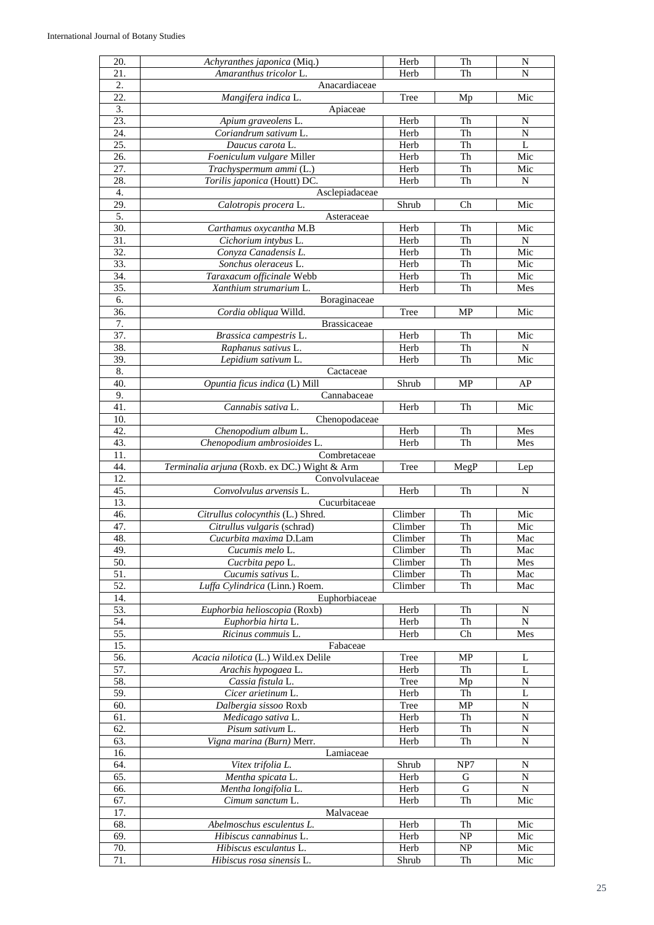| 20.                      | Achyranthes japonica (Miq.)                           | Herb               | Th        | N           |
|--------------------------|-------------------------------------------------------|--------------------|-----------|-------------|
| 21.                      | Amaranthus tricolor L.                                | Herb               | Th        | N           |
| 2.                       | Anacardiaceae                                         |                    |           |             |
| 22.                      | Mangifera indica L.                                   | Tree               | Mp        | Mic         |
| $\overline{3}$ .         | Apiaceae                                              |                    |           |             |
| 23.                      | Apium graveolens L.                                   | Herb               | Th        | N           |
| 24.                      | Coriandrum sativum L.                                 | Herb               | Th        | N           |
| $\overline{25}$ .        | Daucus carota L.                                      | Herb               | Th        | L           |
| 26.                      | Foeniculum vulgare Miller                             | Herb               | Th        | Mic         |
| 27.                      | Trachyspermum ammi (L.)                               | Herb               | Th        | Mic         |
| 28.                      | Torilis japonica (Houtt) DC.                          | Herb               | Th        | N           |
| 4.                       | Asclepiadaceae                                        |                    |           |             |
| 29.                      | Calotropis procera L.                                 | Shrub              | Ch        | Mic         |
| 5.                       | Asteraceae                                            |                    |           |             |
| 30.                      | Carthamus oxycantha M.B                               | Herb               | Th        | Mic         |
| 31.                      | Cichorium intybus L.                                  | Herb               | Th        | N           |
| 32.                      | Conyza Canadensis L.                                  | Herb               | Th        | Mic         |
| 33.                      | Sonchus oleraceus L.                                  | Herb               | Th        | Mic         |
| 34.                      | Taraxacum officinale Webb                             | Herb               | Th        | Mic         |
| 35.                      | Xanthium strumarium L.                                | Herb               | Th        | Mes         |
| 6.                       | Boraginaceae                                          |                    |           |             |
| 36.                      | Cordia obliqua Willd.                                 | Tree               | <b>MP</b> | Mic         |
| 7.                       | <b>Brassicaceae</b>                                   |                    |           |             |
| 37.                      | Brassica campestris L.                                | Herb               | Th        | Mic         |
| 38.                      | Raphanus sativus L.                                   | Herb               | Th        | N           |
| 39.                      | Lepidium sativum L.                                   | Herb               | Th        | Mic         |
| 8.                       | Cactaceae                                             |                    |           |             |
| 40.                      | Opuntia ficus indica (L) Mill                         | Shrub              | MP        | AP          |
| 9.                       | Cannabaceae                                           |                    |           |             |
| 41.                      | Cannabis sativa L.                                    | Herb               | Th        | Mic         |
| 10.                      | Chenopodaceae                                         |                    |           |             |
| 42.                      | Chenopodium album L.                                  | Herb               | Th        | Mes         |
| 43.                      | Chenopodium ambrosioides L.                           | Herb               | Th        | Mes         |
| 11.                      | Combretaceae                                          |                    |           |             |
|                          | Terminalia arjuna (Roxb. ex DC.) Wight & Arm          |                    |           |             |
|                          |                                                       |                    |           |             |
| 44.                      |                                                       | Tree               | MegP      | Lep         |
| 12.                      | Convolvulaceae                                        |                    |           |             |
| 45.                      | Convolvulus arvensis L.                               | Herb               | Th        | N           |
| 13.<br>46.               | Cucurbitaceae                                         |                    |           |             |
| 47.                      | Citrullus colocynthis (L.) Shred.                     | Climber<br>Climber | Th<br>Th  | Mic<br>Mic  |
|                          | Citrullus vulgaris (schrad)<br>Cucurbita maxima D.Lam | Climber            | Th        |             |
| 48.                      |                                                       |                    |           | Mac         |
| 49.<br>50.               | Cucumis melo L.                                       | Climber            | Th<br>Th  | Mac<br>Mes  |
|                          | Cucrbita pepo L.<br>Cucumis sativus L.                | Climber            |           | Mac         |
| $\overline{51}$ .<br>52. | Luffa Cylindrica (Linn.) Roem.                        | Climber<br>Climber | Th<br>Th  | Mac         |
|                          |                                                       |                    |           |             |
| 14.                      | Euphorbiaceae                                         |                    |           | N           |
| 53.<br>54.               | Euphorbia helioscopia (Roxb)<br>Euphorbia hirta L.    | Herb<br>Herb       | Th<br>Th  | N           |
| 55.                      | Ricinus commuis L.                                    | Herb               | Ch        | Mes         |
| 15.                      | Fabaceae                                              |                    |           |             |
|                          |                                                       | Tree               | MP        | L           |
| 56.                      | Acacia nilotica (L.) Wild.ex Delile                   | Herb               | Th        | L           |
| 57.                      | Arachis hypogaea L.                                   |                    |           | N           |
| 58.                      | Cassia fistula L.<br>Cicer arietinum L.               | Tree<br>Herb       | Mp<br>Th  | L           |
| 59.<br>60.               |                                                       |                    | MP        | $\mathbf N$ |
|                          | Dalbergia sissoo Roxb                                 | Tree               |           | N           |
| 61.                      | Medicago sativa L.                                    | Herb               | Th<br>Th  | N           |
| 62.                      | Pisum sativum L.                                      | Herb               |           |             |
| 63.                      | Vigna marina (Burn) Merr.                             | Herb               | Th        | N           |
| 16.                      | Lamiaceae                                             |                    |           |             |
| 64.                      | Vitex trifolia L.                                     | Shrub              | NP7       | N           |
| 65.                      | Mentha spicata L.                                     | Herb               | G         | N           |
| 66.                      | Mentha longifolia L.                                  | Herb               | G         | N           |
| 67.                      | Cimum sanctum L.                                      | Herb               | Th        | Mic         |
| 17.                      | Malvaceae                                             |                    |           |             |
| 68.                      | Abelmoschus esculentus L.                             | Herb               | Th        | Mic         |
| 69.                      | Hibiscus cannabinus L.                                | Herb               | NP        | Mic         |
| 70.<br>71.               | Hibiscus esculantus L.<br>Hibiscus rosa sinensis L.   | Herb<br>Shrub      | NP<br>Th  | Mic<br>Mic  |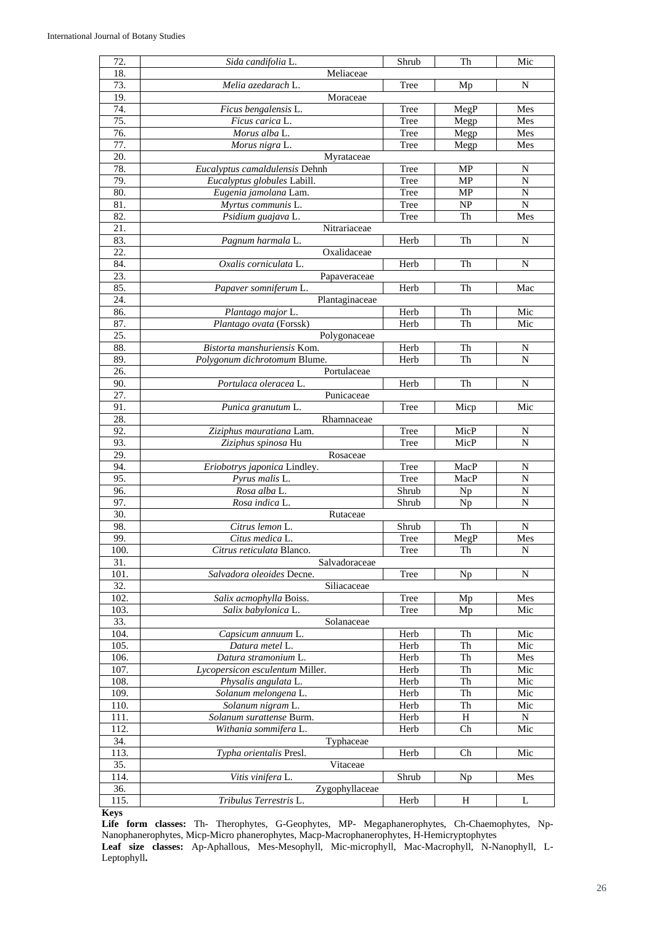| 72.                      | Sida candifolia L.              | Shrub | Th        | Mic            |
|--------------------------|---------------------------------|-------|-----------|----------------|
| 18.                      | Meliaceae                       |       |           |                |
| 73.                      | Melia azedarach L.              | Tree  | Mp        | N              |
| 19.                      | Moraceae                        |       |           |                |
| 74.                      | Ficus bengalensis L.            | Tree  | MegP      | Mes            |
| 75.                      | Ficus carica L.                 | Tree  | Megp      | Mes            |
| 76.                      | Morus alba L.                   | Tree  |           | Mes            |
|                          |                                 |       | Megp      |                |
| 77.<br>20.               | Morus nigra L.                  | Tree  | Megp      | Mes            |
|                          | Myrataceae                      |       |           |                |
| 78.                      | Eucalyptus camaldulensis Dehnh  | Tree  | <b>MP</b> | N              |
| 79.                      | Eucalyptus globules Labill.     | Tree  | MP        | N              |
| 80.                      | Eugenia jamolana Lam.           | Tree  | MP        | N              |
| 81.                      | Myrtus communis L.              | Tree  | NP        | ${\bf N}$      |
| 82.                      | Psidium guajava L.              | Tree  | Th        | Mes            |
| 21.                      | Nitrariaceae                    |       |           |                |
| 83.                      | Pagnum harmala L.               | Herb  | Th        | $\mathbf N$    |
| 22.                      | Oxalidaceae                     |       |           |                |
| 84.                      | Oxalis corniculata L.           | Herb  | Th        | N              |
| 23.                      | Papaveraceae                    |       |           |                |
| 85.                      | Papaver somniferum L.           | Herb  | Th        | Mac            |
| 24.                      | Plantaginaceae                  |       |           |                |
| 86.                      | Plantago major L.               | Herb  | Th        | Mic            |
| 87.                      | Plantago ovata (Forssk)         | Herb  | Th        | Mic            |
| 25.                      | Polygonaceae                    |       |           |                |
| 88.                      | Bistorta manshuriensis Kom.     | Herb  | Th        | N              |
| 89.                      | Polygonum dichrotomum Blume.    | Herb  | Th        | $\overline{N}$ |
| 26.                      | Portulaceae                     |       |           |                |
| 90.                      | Portulaca oleracea L.           | Herb  | Th        | N              |
| 27.                      | Punicaceae                      |       |           |                |
| 91.                      | Punica granutum L.              | Tree  | Micp      | Mic            |
| 28.                      | Rhamnaceae                      |       |           |                |
| 92.                      |                                 | Tree  | MicP      |                |
| 93.                      | Ziziphus mauratiana Lam.        | Tree  | MicP      | N<br>N         |
|                          | Ziziphus spinosa Hu             |       |           |                |
| 29.                      | Rosaceae                        |       |           |                |
| 94.                      | Eriobotrys japonica Lindley.    | Tree  | MacP      | N              |
| 95.                      | Pyrus malis L.                  | Tree  | MacP      | N              |
| 96.                      | Rosa alba L.                    | Shrub | Np        | $\mathbf N$    |
| 97.                      | Rosa indica L.                  | Shrub | Np        | N              |
| 30.                      | Rutaceae                        |       |           |                |
| 98.                      | Citrus lemon L.                 | Shrub | Th        | N              |
| 99.                      | Citus medica L.                 | Tree  | MegP      | Mes            |
| 100.                     | Citrus reticulata Blanco.       | Tree  | Th        | N              |
| $\overline{31}$ .        | Salvadoraceae                   |       |           |                |
| 101.                     | Salvadora oleoides Decne.       | Tree  | Np        | N              |
| $\overline{32}$ .        | Siliacaceae                     |       |           |                |
| 102.                     | Salix acmophylla Boiss.         | Tree  | Mp        | Mes            |
| 103.                     | Salix babylonica L.             | Tree  | Mp        | Mic            |
| 33.                      | Solanaceae                      |       |           |                |
| 104.                     | Capsicum annuum L.              | Herb  | Th        | Mic            |
| 105.                     | Datura metel L.                 | Herb  | Th        | Mic            |
| 106.                     | Datura stramonium L.            | Herb  | Th        | Mes            |
| 107.                     | Lycopersicon esculentum Miller. | Herb  | Th        | Mic            |
| 108.                     | Physalis angulata L.            | Herb  | Th        | Mic            |
| 109.                     | Solanum melongena L.            | Herb  | Th        | Mic            |
| 110.                     | Solanum nigram L.               | Herb  | Th        | Mic            |
| 111.                     | Solanum surattense Burm.        | Herb  | H         | ${\bf N}$      |
| 112.                     | Withania sommifera L.           | Herb  | Ch        | Mic            |
| 34.                      | Typhaceae                       |       |           |                |
| 113.                     | Typha orientalis Presl.         | Herb  | Ch        | Mic            |
| 35.                      | Vitaceae                        |       |           |                |
| 114.                     | Vitis vinifera L.               | Shrub | Np        | Mes            |
| 36.                      | Zygophyllaceae                  |       |           |                |
|                          |                                 |       |           |                |
| 115.<br>$\mathbf{V}$ and | Tribulus Terrestris L.          | Herb  | H         | L              |

**Keys**

**Life form classes:** Th- Therophytes, G-Geophytes, MP- Megaphanerophytes, Ch-Chaemophytes, Np-Nanophanerophytes, Micp-Micro phanerophytes, Macp-Macrophanerophytes, H-Hemicryptophytes **Leaf size classes:** Ap-Aphallous, Mes-Mesophyll, Mic-microphyll, Mac-Macrophyll, N-Nanophyll, L-Leptophyll**.**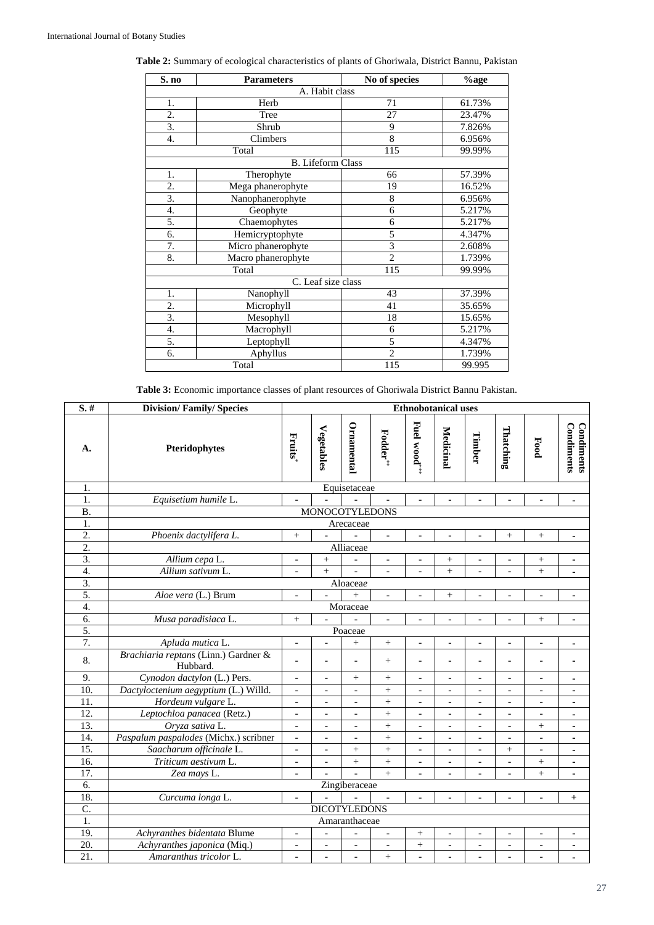| S. no | <b>Parameters</b>        | No of species    | $\%$ age |
|-------|--------------------------|------------------|----------|
|       | A. Habit class           |                  |          |
| 1.    | Herb                     | 71               | 61.73%   |
| 2.    | Tree                     | 27               | 23.47%   |
| 3.    | Shrub                    | 9                | 7.826%   |
| 4.    | Climbers                 | 8                | 6.956%   |
|       | Total                    | $\overline{115}$ | 99.99%   |
|       | <b>B.</b> Lifeform Class |                  |          |
| 1.    | Therophyte               | 66               | 57.39%   |
| 2.    | Mega phanerophyte        | 19               | 16.52%   |
| 3.    | Nanophanerophyte         | 8                | 6.956%   |
| 4.    | Geophyte                 | 6                | 5.217%   |
| 5.    | Chaemophytes             | 6                | 5.217%   |
| 6.    | Hemicryptophyte          | 5                | 4.347%   |
| 7.    | Micro phanerophyte       | $\overline{3}$   | 2.608%   |
| 8.    | Macro phanerophyte       | $\overline{2}$   | 1.739%   |
|       | Total                    | 115              | 99.99%   |
|       | C. Leaf size class       |                  |          |
| 1.    | Nanophyll                | 43               | 37.39%   |
| 2.    | Microphyll               | 41               | 35.65%   |
| 3.    | Mesophyll                | 18               | 15.65%   |
| 4.    | Macrophyll               | 6                | 5.217%   |
| 5.    | Leptophyll               | 5                | 4.347%   |
| 6.    | Aphyllus                 | $\overline{2}$   | 1.739%   |
|       | Total                    | 115              | 99.995   |

# **Table 2:** Summary of ecological characteristics of plants of Ghoriwala, District Bannu, Pakistan

**Table 3:** Economic importance classes of plant resources of Ghoriwala District Bannu Pakistan.

| $S.$ #            | <b>Division/Family/Species</b>                   | <b>Ethnobotanical uses</b> |                          |                          |                          |                              |                          |                              |                          |                          |                          |
|-------------------|--------------------------------------------------|----------------------------|--------------------------|--------------------------|--------------------------|------------------------------|--------------------------|------------------------------|--------------------------|--------------------------|--------------------------|
| А.                | Pteridophytes                                    | Fruits                     | Vegetables               | Ornamental               | Fodder*                  | Fuel wood***                 | Medicinal                | Timber                       | Thatching                | Food                     | Condiments<br>Condiments |
| 1.                |                                                  |                            |                          | Equisetaceae             |                          |                              |                          |                              |                          |                          |                          |
| 1.                | Equisetium humile L.                             | $\blacksquare$             |                          |                          |                          | $\overline{a}$               | $\overline{\phantom{a}}$ | $\overline{a}$               | $\overline{a}$           | $\overline{\phantom{a}}$ | ٠                        |
| <b>B.</b>         |                                                  |                            |                          | <b>MONOCOTYLEDONS</b>    |                          |                              |                          |                              |                          |                          |                          |
| $\overline{1}$ .  |                                                  |                            |                          | Arecaceae                |                          |                              |                          |                              |                          |                          |                          |
| $\overline{2}$ .  | Phoenix dactylifera L.                           | $^{+}$                     |                          |                          | $\overline{\phantom{a}}$ | $\overline{a}$               |                          |                              | $^{+}$                   | $\! + \!\!\!\!$          | ۰                        |
| $\overline{2}$ .  |                                                  |                            |                          | Alliaceae                |                          |                              |                          |                              |                          |                          |                          |
| 3.                | Allium cepa L.                                   | $\overline{\phantom{0}}$   | $^{+}$                   | $\overline{\phantom{a}}$ | $\overline{\phantom{0}}$ | $\overline{a}$               | $\! + \!\!\!\!$          |                              | $\overline{a}$           | $^+$                     | ä,                       |
| $\overline{4}$ .  | Allium sativum L.                                | $\overline{a}$             | $+$                      |                          | $\overline{a}$           | $\overline{a}$               | $+$                      |                              |                          | $^{+}$                   | ä,                       |
| $\overline{3}$ .  |                                                  |                            |                          | Aloaceae                 |                          |                              |                          |                              |                          |                          |                          |
| 5.                | Aloe vera (L.) Brum                              |                            |                          | $\ddot{}$                | $\frac{1}{2}$            |                              | $^{+}$                   |                              |                          | $\overline{\phantom{0}}$ | ÷                        |
| 4.                |                                                  |                            |                          | Moraceae                 |                          |                              |                          |                              |                          |                          |                          |
| 6.                | Musa paradisiaca L.                              | $^{+}$                     | $\overline{a}$           |                          | $\overline{a}$           |                              |                          |                              |                          | $^{+}$                   | ä,                       |
| 5.                |                                                  |                            |                          | Poaceae                  |                          |                              |                          |                              |                          |                          |                          |
| 7.                | Apluda mutica L.                                 | $\overline{\phantom{a}}$   | $\overline{\phantom{a}}$ | $^{+}$                   | $\qquad \qquad +$        | $\overline{a}$               | $\overline{a}$           | $\overline{a}$               | $\overline{a}$           | $\overline{a}$           | ÷,                       |
| 8.                | Brachiaria reptans (Linn.) Gardner &<br>Hubbard. | $\overline{\phantom{0}}$   | $\overline{a}$           | $\overline{\phantom{a}}$ | $^{+}$                   | $\qquad \qquad \blacksquare$ |                          | $\overline{a}$               | $\overline{\phantom{a}}$ | $\overline{a}$           | ä,                       |
| 9.                | Cynodon dactylon (L.) Pers.                      | $\blacksquare$             | $\overline{\phantom{a}}$ | $^{+}$                   | $\qquad \qquad +$        | $\qquad \qquad \Box$         | $\overline{\phantom{0}}$ | $\overline{a}$               | $\overline{\phantom{a}}$ | $\overline{\phantom{0}}$ | ٠                        |
| 10.               | Dactyloctenium aegyptium (L.) Willd.             | $\overline{\phantom{0}}$   | $\overline{\phantom{a}}$ | $\overline{\phantom{a}}$ | $\qquad \qquad +$        | $\frac{1}{2}$                | $\overline{\phantom{a}}$ | $\overline{a}$               | $\overline{\phantom{0}}$ | $\overline{\phantom{a}}$ | $\blacksquare$           |
| 11.               | Hordeum vulgare L.                               | $\overline{\phantom{a}}$   | $\blacksquare$           | $\blacksquare$           | $\qquad \qquad +$        | $\overline{\phantom{0}}$     | $\overline{\phantom{0}}$ | $\overline{a}$               | $\overline{a}$           | $\overline{\phantom{0}}$ | $\blacksquare$           |
| 12.               | Leptochloa panacea (Retz.)                       | $\blacksquare$             | $\overline{\phantom{a}}$ | $\overline{\phantom{a}}$ | $\ddot{}$                | $\overline{\phantom{0}}$     | $\overline{a}$           | $\frac{1}{2}$                | $\overline{\phantom{a}}$ | $\overline{\phantom{0}}$ | $\blacksquare$           |
| 13.               | Oryza sativa L.                                  | $\overline{\phantom{a}}$   | $\overline{\phantom{0}}$ | $\overline{\phantom{a}}$ | $^{+}$                   | $\qquad \qquad \blacksquare$ | $\overline{a}$           | $\qquad \qquad \blacksquare$ | $\overline{\phantom{0}}$ | $^{+}$                   | $\blacksquare$           |
| 14.               | Paspalum paspalodes (Michx.) scribner            | $\overline{\phantom{a}}$   | $\blacksquare$           | $\blacksquare$           | $\ddot{}$                | $\overline{a}$               | $\overline{\phantom{0}}$ | $\overline{a}$               | $\overline{\phantom{0}}$ | $\overline{a}$           | ۰                        |
| $\overline{15}$ . | Saacharum officinale L.                          | $\overline{\phantom{a}}$   | $\overline{a}$           | $^{+}$                   | $^{+}$                   | $\overline{a}$               | $\frac{1}{2}$            | $\overline{a}$               | $^{+}$                   | $\frac{1}{2}$            | $\blacksquare$           |
| 16.               | Triticum aestivum L.                             | $\blacksquare$             | $\blacksquare$           | $\ddot{}$                | $^{+}$                   | $\qquad \qquad \Box$         | $\frac{1}{2}$            | $\overline{a}$               | $\overline{\phantom{a}}$ | $^{+}$                   | ä,                       |
| 17.               | Zea mays L.                                      | $\overline{\phantom{0}}$   | $\overline{\phantom{a}}$ | $\overline{a}$           | $^{+}$                   | $\overline{a}$               | $\overline{\phantom{a}}$ | $\overline{a}$               | $\overline{a}$           | $^{+}$                   | ä,                       |
| 6.                |                                                  |                            |                          | Zingiberaceae            |                          |                              |                          |                              |                          |                          |                          |
| 18.               | Curcuma longa L.                                 | $\overline{\phantom{a}}$   |                          |                          |                          | $\qquad \qquad \blacksquare$ | $\overline{a}$           | $\overline{a}$               | $\overline{\phantom{0}}$ | $\overline{\phantom{a}}$ | $^{+}$                   |
| $\overline{C}$ .  |                                                  |                            |                          | <b>DICOTYLEDONS</b>      |                          |                              |                          |                              |                          |                          |                          |
| 1.                |                                                  |                            |                          | Amaranthaceae            |                          |                              |                          |                              |                          |                          |                          |
| 19.               | Achyranthes bidentata Blume                      | $\overline{\phantom{a}}$   |                          |                          | $\overline{\phantom{0}}$ | $^{+}$                       |                          | $\overline{a}$               | $\overline{a}$           | $\frac{1}{2}$            | $\blacksquare$           |
| 20.               | Achyranthes japonica (Miq.)                      | $\overline{\phantom{a}}$   | $\overline{\phantom{a}}$ | $\overline{\phantom{a}}$ | $\frac{1}{2}$            | $\qquad \qquad +$            | $\overline{\phantom{0}}$ | $\qquad \qquad \blacksquare$ | $\frac{1}{2}$            | $\frac{1}{2}$            | ä,                       |
| 21.               | Amaranthus tricolor L.                           | $\overline{\phantom{0}}$   | $\blacksquare$           | $\overline{\phantom{a}}$ | $^{+}$                   | $\overline{a}$               |                          | $\overline{a}$               | $\overline{\phantom{a}}$ | $\overline{\phantom{0}}$ |                          |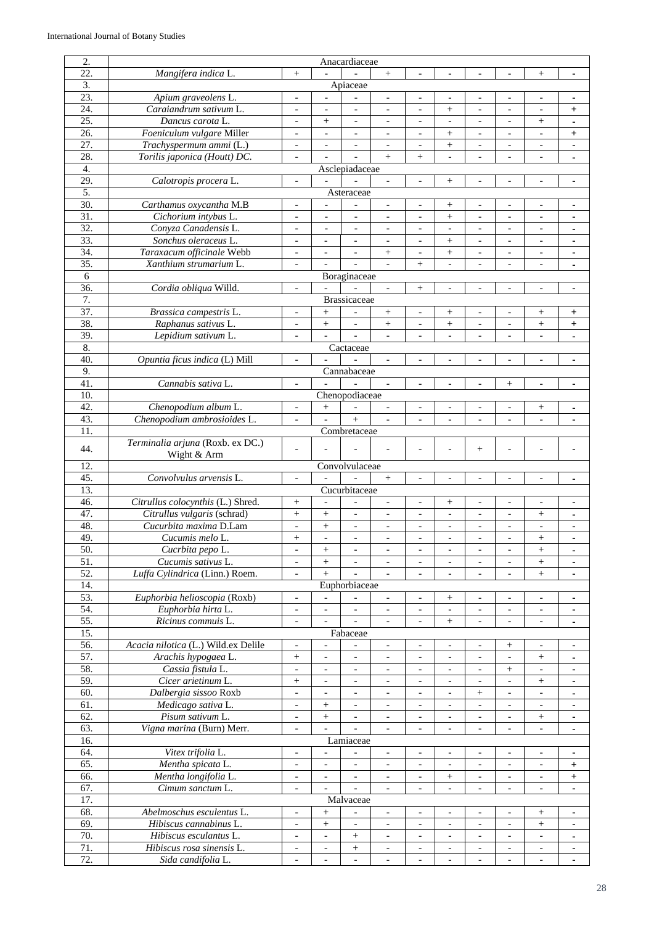| 2.               | Anacardiaceae                                   |                                                      |                                            |                                  |                                                      |                                            |                                            |                                                      |                                                      |                                                          |                                  |
|------------------|-------------------------------------------------|------------------------------------------------------|--------------------------------------------|----------------------------------|------------------------------------------------------|--------------------------------------------|--------------------------------------------|------------------------------------------------------|------------------------------------------------------|----------------------------------------------------------|----------------------------------|
| 22.              | Mangifera indica L.                             | $\qquad \qquad +$                                    |                                            |                                  | $\qquad \qquad +$                                    | $\overline{a}$                             |                                            |                                                      |                                                      | $\! + \!\!\!\!$                                          | $\blacksquare$                   |
| 3.               |                                                 |                                                      |                                            | Apiaceae                         |                                                      |                                            |                                            |                                                      |                                                      |                                                          |                                  |
|                  |                                                 |                                                      |                                            |                                  |                                                      |                                            |                                            |                                                      |                                                      |                                                          |                                  |
| 23.              | Apium graveolens L.                             | $\blacksquare$                                       |                                            |                                  | $\overline{\phantom{a}}$                             | $\overline{\phantom{a}}$                   |                                            |                                                      |                                                      | $\overline{a}$                                           | ۰                                |
| 24.              | Caraiandrum sativum L.                          | $\overline{\phantom{a}}$                             | $\overline{\phantom{a}}$                   | $\overline{\phantom{a}}$         | $\overline{\phantom{a}}$                             | $\overline{\phantom{a}}$                   | $^{+}$                                     | $\overline{\phantom{a}}$                             | $\overline{\phantom{a}}$                             | $\blacksquare$                                           | $+$                              |
| 25.              | Dancus carota L.                                | $\overline{\phantom{a}}$                             | $\! + \!\!\!\!$                            | $\overline{\phantom{a}}$         | $\overline{\phantom{a}}$                             | $\overline{\phantom{a}}$                   | $\overline{\phantom{a}}$                   |                                                      | $\overline{\phantom{a}}$                             | $\! + \!\!\!\!$                                          | $\blacksquare$                   |
| 26.              | Foeniculum vulgare Miller                       | $\overline{a}$                                       | $\overline{\phantom{a}}$                   | $\overline{\phantom{a}}$         |                                                      | $\overline{\phantom{a}}$                   |                                            | $\overline{\phantom{a}}$                             | $\overline{\phantom{a}}$                             | $\overline{\phantom{a}}$                                 | $\ddot{}$                        |
| 27.              | Trachyspermum ammi (L.)                         | $\overline{a}$                                       | $\overline{\phantom{a}}$                   | $\overline{a}$                   | $\overline{\phantom{a}}$                             | $\overline{\phantom{a}}$                   | $^{+}$                                     | $\qquad \qquad \blacksquare$                         | $\overline{\phantom{a}}$                             | $\overline{\phantom{a}}$                                 | $\blacksquare$                   |
| 28.              | Torilis japonica (Houtt) DC.                    | $\blacksquare$                                       |                                            |                                  | $+$                                                  | $\ddot{}$                                  | $\overline{a}$                             |                                                      |                                                      | $\overline{a}$                                           |                                  |
| $\overline{4}$ . |                                                 |                                                      |                                            | Asclepiadaceae                   |                                                      |                                            |                                            |                                                      |                                                      |                                                          |                                  |
| 29.              | Calotropis procera L.                           | $\overline{\phantom{a}}$                             |                                            |                                  |                                                      | $\blacksquare$                             | $^{+}$                                     |                                                      |                                                      | $\overline{a}$                                           |                                  |
|                  |                                                 |                                                      |                                            |                                  |                                                      |                                            |                                            |                                                      |                                                      |                                                          | $\blacksquare$                   |
| 5.               |                                                 |                                                      |                                            | Asteraceae                       |                                                      |                                            |                                            |                                                      |                                                      |                                                          |                                  |
| 30.              | Carthamus oxycantha M.B                         | $\overline{\phantom{a}}$                             | $\overline{\phantom{a}}$                   | $\overline{a}$                   | $\blacksquare$                                       | $\overline{\phantom{a}}$                   | $^{+}$                                     | $\overline{\phantom{a}}$                             | $\overline{\phantom{a}}$                             | $\overline{\phantom{a}}$                                 | ۰                                |
| 31.              | Cichorium intybus L.                            | $\overline{\phantom{0}}$                             |                                            | $\overline{\phantom{0}}$         | $\overline{a}$                                       | $\qquad \qquad \Box$                       | $^{+}$                                     | $\overline{a}$                                       | $\overline{a}$                                       | $\overline{a}$                                           |                                  |
| 32.              | Conyza Canadensis L.                            | $\overline{\phantom{a}}$                             | $\blacksquare$                             | $\overline{\phantom{a}}$         | $\overline{\phantom{a}}$                             | $\overline{\phantom{a}}$                   | $\overline{\phantom{a}}$                   | $\overline{\phantom{a}}$                             | $\overline{\phantom{a}}$                             | $\blacksquare$                                           | ٠                                |
| 33.              | Sonchus oleraceus L.                            | $\overline{\phantom{a}}$                             | $\overline{\phantom{a}}$                   | $\overline{\phantom{a}}$         | $\overline{\phantom{a}}$                             | $\overline{\phantom{a}}$                   | $\! + \!\!\!\!$                            | $\overline{\phantom{a}}$                             | $\overline{\phantom{a}}$                             | $\blacksquare$                                           | $\blacksquare$                   |
| 34.              | Taraxacum officinale Webb                       | $\overline{\phantom{a}}$                             | $\overline{a}$                             | $\overline{a}$                   | $^{+}$                                               | $\overline{\phantom{a}}$                   | $^{+}$                                     |                                                      | $\overline{\phantom{a}}$                             | $\overline{\phantom{a}}$                                 | $\blacksquare$                   |
| 35.              | Xanthium strumarium L.                          | $\blacksquare$                                       | $\overline{\phantom{a}}$                   |                                  | $\overline{\phantom{a}}$                             | $^{+}$                                     | $\overline{a}$                             | $\overline{a}$                                       | $\overline{\phantom{a}}$                             | $\overline{\phantom{a}}$                                 | $\blacksquare$                   |
| 6                |                                                 |                                                      |                                            | Boraginaceae                     |                                                      |                                            |                                            |                                                      |                                                      |                                                          |                                  |
|                  |                                                 |                                                      |                                            |                                  |                                                      |                                            |                                            |                                                      |                                                      |                                                          |                                  |
| 36.              | Cordia obliqua Willd.                           | $\overline{\phantom{a}}$                             |                                            |                                  | $\blacksquare$                                       | $^{+}$                                     | L,                                         |                                                      |                                                      | $\overline{a}$                                           | ٠                                |
| 7.               |                                                 |                                                      |                                            | <b>Brassicaceae</b>              |                                                      |                                            |                                            |                                                      |                                                      |                                                          |                                  |
| 37.              | Brassica campestris L.                          |                                                      | $^{+}$                                     |                                  | $^{+}$                                               | $\overline{\phantom{a}}$                   | $\! + \!\!\!\!$                            |                                                      |                                                      | $\! + \!\!\!\!$                                          | $\ddot{}$                        |
| 38.              | Raphanus sativus L.                             | $\blacksquare$                                       | $^{+}$                                     | $\overline{\phantom{a}}$         | $^+$                                                 | $\overline{\phantom{a}}$                   | $^{+}$                                     | $\blacksquare$                                       | $\overline{\phantom{a}}$                             |                                                          | $\ddot{}$                        |
| 39.              | Lepidium sativum L.                             |                                                      |                                            |                                  |                                                      |                                            |                                            |                                                      |                                                      | $\overline{a}$                                           |                                  |
| 8.               |                                                 |                                                      |                                            | Cactaceae                        |                                                      |                                            |                                            |                                                      |                                                      |                                                          |                                  |
| 40.              | Opuntia ficus indica (L) Mill                   | $\overline{\phantom{a}}$                             |                                            |                                  | $\blacksquare$                                       | $\overline{a}$                             | L.                                         |                                                      |                                                      | $\overline{a}$                                           | $\blacksquare$                   |
|                  |                                                 |                                                      |                                            |                                  |                                                      |                                            |                                            |                                                      |                                                      |                                                          |                                  |
| 9.               |                                                 |                                                      |                                            | Cannabaceae                      |                                                      |                                            |                                            |                                                      |                                                      |                                                          |                                  |
| 41.              | Cannabis sativa L.                              | $\overline{\phantom{a}}$                             |                                            |                                  | $\overline{\phantom{a}}$                             | $\overline{\phantom{a}}$                   | $\overline{\phantom{a}}$                   | $\frac{1}{2}$                                        | $\! + \!\!\!\!$                                      | $\blacksquare$                                           | ٠                                |
| 10.              |                                                 |                                                      |                                            | Chenopodiaceae                   |                                                      |                                            |                                            |                                                      |                                                      |                                                          |                                  |
| 42.              | Chenopodium album L.                            |                                                      | $^{+}$                                     |                                  |                                                      | $\overline{\phantom{a}}$                   |                                            |                                                      |                                                      | $^{+}$                                                   |                                  |
| 43.              | Chenopodium ambrosioides L.                     | $\overline{\phantom{a}}$                             | $\frac{1}{2}$                              | $^{+}$                           | $\overline{\phantom{a}}$                             | $\blacksquare$                             | $\overline{\phantom{a}}$                   | $\overline{a}$                                       | $\overline{\phantom{a}}$                             | $\overline{a}$                                           | $\blacksquare$                   |
| 11.              |                                                 |                                                      |                                            | Combretaceae                     |                                                      |                                            |                                            |                                                      |                                                      |                                                          |                                  |
|                  | Terminalia arjuna (Roxb. ex DC.)                |                                                      |                                            |                                  |                                                      |                                            |                                            |                                                      |                                                      |                                                          |                                  |
| 44.              | Wight & Arm                                     |                                                      |                                            |                                  |                                                      |                                            |                                            | $^{+}$                                               |                                                      |                                                          |                                  |
|                  |                                                 |                                                      |                                            |                                  |                                                      |                                            |                                            |                                                      |                                                      |                                                          |                                  |
|                  |                                                 |                                                      |                                            |                                  |                                                      |                                            |                                            |                                                      |                                                      |                                                          |                                  |
| 12.              |                                                 |                                                      |                                            | Convolvulaceae                   |                                                      |                                            |                                            |                                                      |                                                      |                                                          |                                  |
| 45.              | Convolvulus arvensis L.                         | $\blacksquare$                                       |                                            |                                  | $+$                                                  | $\overline{a}$                             |                                            |                                                      |                                                      | $\overline{a}$                                           | ٠                                |
| 13.              |                                                 |                                                      |                                            | Cucurbitaceae                    |                                                      |                                            |                                            |                                                      |                                                      |                                                          |                                  |
| 46.              | Citrullus colocynthis (L.) Shred.               | $^{+}$                                               | $\overline{\phantom{a}}$                   | $\overline{a}$                   | $\blacksquare$                                       | $\overline{\phantom{a}}$                   |                                            | $\overline{\phantom{a}}$                             | $\overline{\phantom{a}}$                             | $\overline{\phantom{a}}$                                 | ٠                                |
| 47.              | Citrullus vulgaris (schrad)                     | $^{+}$                                               | $^{+}$                                     | $\overline{\phantom{a}}$         | $\overline{\phantom{a}}$                             | $\overline{\phantom{a}}$                   | $\blacksquare$                             | $\overline{a}$                                       | $\overline{\phantom{a}}$                             | $^{+}$                                                   | ۰                                |
| 48.              | Cucurbita maxima D.Lam                          | $\overline{\phantom{m}}$                             | $\ddot{}$                                  | $\overline{\phantom{a}}$         | $\overline{a}$                                       | $\overline{\phantom{a}}$                   | $\overline{a}$                             | $\overline{a}$                                       | $\overline{a}$                                       | $\overline{a}$                                           |                                  |
|                  |                                                 |                                                      | $\blacksquare$                             | $\overline{\phantom{a}}$         | $\blacksquare$                                       | $\overline{\phantom{a}}$                   | $\overline{a}$                             | $\overline{a}$                                       | $\overline{a}$                                       |                                                          |                                  |
| 49.              | Cucumis melo L.                                 | $\! + \!$                                            |                                            |                                  |                                                      |                                            |                                            |                                                      |                                                      | $^{+}$                                                   |                                  |
| 50.              | Cucrbita pepo L.                                | $\overline{\phantom{a}}$                             | $^{+}$                                     | $\overline{\phantom{a}}$         | $\overline{\phantom{a}}$                             | $\overline{\phantom{a}}$                   | $\overline{\phantom{a}}$                   | $\overline{\phantom{0}}$                             | $\overline{\phantom{a}}$                             | $^{+}$                                                   | $\blacksquare$                   |
| 51.              | Cucumis sativus L.                              | $\overline{\phantom{a}}$                             | $\boldsymbol{+}$                           | $\overline{\phantom{a}}$         | $\overline{\phantom{a}}$                             | $\overline{\phantom{a}}$                   | $\blacksquare$                             | $\overline{\phantom{0}}$                             | $\overline{\phantom{a}}$                             | $\boldsymbol{+}$                                         | $\blacksquare$                   |
| 52.              | Luffa Cylindrica (Linn.) Roem.                  | $\overline{\phantom{a}}$                             | $^{+}$                                     |                                  | $\overline{\phantom{a}}$                             | $\overline{\phantom{a}}$                   | $\overline{\phantom{a}}$                   | $\overline{\phantom{a}}$                             | $\overline{\phantom{a}}$                             | $\! + \!\!\!\!$                                          | ٠                                |
| 14.              |                                                 |                                                      |                                            | Euphorbiaceae                    |                                                      |                                            |                                            |                                                      |                                                      |                                                          |                                  |
| 53.              | Euphorbia helioscopia (Roxb)                    | $\overline{\phantom{a}}$                             | $\overline{\phantom{a}}$                   | $\blacksquare$                   | $\overline{\phantom{a}}$                             | $\overline{\phantom{a}}$                   | $^{+}$                                     | $\overline{\phantom{a}}$                             | $\overline{\phantom{a}}$                             | $\overline{\phantom{a}}$                                 | ٠                                |
| 54.              | Euphorbia hirta L.                              | $\blacksquare$                                       | $\overline{\phantom{a}}$                   | $\overline{\phantom{a}}$         | $\overline{\phantom{a}}$                             | $\overline{\phantom{a}}$                   | $\overline{\phantom{a}}$                   | $\overline{\phantom{a}}$                             | $\overline{\phantom{a}}$                             | $\overline{\phantom{a}}$                                 | $\blacksquare$                   |
|                  |                                                 | $\overline{\phantom{a}}$                             | $\blacksquare$                             |                                  | $\overline{\phantom{a}}$                             | $\overline{\phantom{a}}$                   |                                            | $\overline{\phantom{a}}$                             | $\overline{\phantom{a}}$                             | $\qquad \qquad \blacksquare$                             | $\blacksquare$                   |
| 55.              | Ricinus commuis L.                              |                                                      |                                            |                                  |                                                      |                                            | $\boldsymbol{+}$                           |                                                      |                                                      |                                                          |                                  |
| 15.              |                                                 |                                                      |                                            | Fabaceae                         |                                                      |                                            |                                            |                                                      |                                                      |                                                          |                                  |
| 56.              | Acacia nilotica (L.) Wild.ex Delile             |                                                      |                                            |                                  |                                                      | $\overline{\phantom{a}}$                   |                                            |                                                      | $\! + \!\!\!\!$                                      |                                                          |                                  |
| 57.              | Arachis hypogaea L.                             | $\boldsymbol{+}$                                     | $\Box$                                     | $\blacksquare$                   | $\overline{\phantom{a}}$                             | $\overline{\phantom{a}}$                   | $\overline{\phantom{a}}$                   | $\overline{\phantom{a}}$                             | $\overline{\phantom{a}}$                             |                                                          | $\blacksquare$                   |
| 58.              | Cassia fistula L.                               | $\overline{\phantom{a}}$                             | $\overline{\phantom{a}}$                   | $\overline{\phantom{a}}$         | $\overline{\phantom{a}}$                             | $\overline{\phantom{a}}$                   | $\overline{\phantom{a}}$                   | $\overline{\phantom{a}}$                             | $\! + \!\!\!\!$                                      | $\overline{\phantom{a}}$                                 | $\blacksquare$                   |
| 59.              | Cicer arietinum L.                              | $^{+}$                                               | $\overline{\phantom{a}}$                   | $\overline{\phantom{a}}$         | $\overline{\phantom{a}}$                             | $\overline{\phantom{a}}$                   | $\qquad \qquad -$                          | $\overline{\phantom{a}}$                             | $\blacksquare$                                       | $^+$                                                     | ٠                                |
| 60.              | Dalbergia sissoo Roxb                           | $\overline{\phantom{a}}$                             | $\overline{\phantom{a}}$                   | $\overline{\phantom{a}}$         | $\overline{\phantom{a}}$                             | $\overline{\phantom{a}}$                   | $\overline{\phantom{a}}$                   | $^{+}$                                               | $\overline{\phantom{a}}$                             | $\overline{\phantom{a}}$                                 | $\blacksquare$                   |
| 61.              | Medicago sativa L.                              | $\overline{\phantom{a}}$                             | $^{+}$                                     | $\overline{\phantom{a}}$         | $\overline{\phantom{a}}$                             | $\overline{\phantom{a}}$                   | $\overline{\phantom{a}}$                   | $\overline{\phantom{0}}$                             | $\overline{\phantom{a}}$                             | $\qquad \qquad -$                                        | $\blacksquare$                   |
|                  | Pisum sativum L.                                | $\overline{\phantom{a}}$                             |                                            | $\mathbb{L}$                     | $\overline{\phantom{a}}$                             | $\Box$                                     | $\blacksquare$                             | $\blacksquare$                                       | $\overline{\phantom{a}}$                             |                                                          | $\blacksquare$                   |
| 62.              |                                                 |                                                      | $\boldsymbol{+}$                           |                                  |                                                      |                                            |                                            |                                                      |                                                      | $\boldsymbol{+}$                                         |                                  |
| 63.              | Vigna marina (Burn) Merr.                       | $\overline{\phantom{a}}$                             | $\blacksquare$                             | $\overline{\phantom{a}}$         | $\overline{\phantom{a}}$                             | $\overline{\phantom{a}}$                   | $\overline{\phantom{a}}$                   | $\overline{\phantom{a}}$                             | $\overline{\phantom{a}}$                             | $\overline{\phantom{a}}$                                 | $\blacksquare$                   |
| 16.              |                                                 |                                                      |                                            | Lamiaceae                        |                                                      |                                            |                                            |                                                      |                                                      |                                                          |                                  |
| 64.              | Vitex trifolia L.                               | $\overline{\phantom{a}}$                             | $\overline{\phantom{0}}$                   | $\overline{\phantom{a}}$         | $\overline{\phantom{a}}$                             | $\overline{\phantom{a}}$                   | $\overline{a}$                             | $\overline{\phantom{0}}$                             | $\overline{\phantom{a}}$                             | $\blacksquare$                                           | $\blacksquare$                   |
| 65.              | Mentha spicata L.                               | $\overline{\phantom{a}}$                             | $\overline{\phantom{0}}$                   | $\overline{\phantom{a}}$         | $\overline{\phantom{0}}$                             | $\overline{\phantom{a}}$                   |                                            |                                                      | $\overline{\phantom{a}}$                             | $\qquad \qquad \blacksquare$                             | $^{+}$                           |
| 66.              | Mentha longifolia L.                            | $\overline{\phantom{a}}$                             | $\blacksquare$                             | $\Box$                           | $\blacksquare$                                       | $\overline{\phantom{a}}$                   | $\boldsymbol{+}$                           | $\Box$                                               | $\Box$                                               | $\overline{\phantom{a}}$                                 | $\ddot{}$                        |
| 67.              | Cimum sanctum L.                                | $\overline{\phantom{a}}$                             | $\frac{1}{2}$                              | $\overline{\phantom{a}}$         | $\overline{\phantom{a}}$                             | $\overline{\phantom{a}}$                   | $\blacksquare$                             | $\blacksquare$                                       | $\overline{\phantom{a}}$                             | $\overline{\phantom{a}}$                                 | $\blacksquare$                   |
| 17.              |                                                 |                                                      |                                            | Malvaceae                        |                                                      |                                            |                                            |                                                      |                                                      |                                                          |                                  |
|                  |                                                 |                                                      |                                            | $\overline{\phantom{a}}$         |                                                      |                                            |                                            | $\overline{\phantom{0}}$                             | $\blacksquare$                                       |                                                          | $\blacksquare$                   |
| 68.              | Abelmoschus esculentus L.                       | $\overline{\phantom{a}}$                             | $^+$                                       |                                  | $\overline{\phantom{a}}$                             | $\overline{\phantom{a}}$                   | $\qquad \qquad -$                          |                                                      |                                                      | $^+$                                                     |                                  |
| 69.              | Hibiscus cannabinus L.                          | $\overline{\phantom{a}}$                             | $^{+}$                                     | $\overline{\phantom{a}}$         | $\overline{\phantom{a}}$                             | $\overline{\phantom{a}}$                   | $\overline{\phantom{a}}$                   | $\overline{\phantom{a}}$                             | $\overline{\phantom{a}}$                             | $\! + \!\!\!\!$                                          | $\blacksquare$                   |
| 70.              | Hibiscus esculantus L.                          | $\overline{\phantom{0}}$                             | $\blacksquare$                             | $^{+}$                           | $\overline{\phantom{a}}$                             | $\overline{\phantom{a}}$                   | $\overline{\phantom{0}}$                   | $\overline{\phantom{0}}$                             | $\overline{\phantom{a}}$                             | $\overline{\phantom{a}}$                                 | ٠                                |
| 71.<br>72.       | Hibiscus rosa sinensis L.<br>Sida candifolia L. | $\overline{\phantom{a}}$<br>$\overline{\phantom{a}}$ | $\overline{\phantom{a}}$<br>$\blacksquare$ | $^+$<br>$\overline{\phantom{a}}$ | $\overline{\phantom{a}}$<br>$\overline{\phantom{a}}$ | $\overline{\phantom{a}}$<br>$\blacksquare$ | $\overline{\phantom{a}}$<br>$\blacksquare$ | $\overline{\phantom{a}}$<br>$\overline{\phantom{a}}$ | $\overline{\phantom{a}}$<br>$\overline{\phantom{a}}$ | $\qquad \qquad \blacksquare$<br>$\overline{\phantom{a}}$ | $\blacksquare$<br>$\blacksquare$ |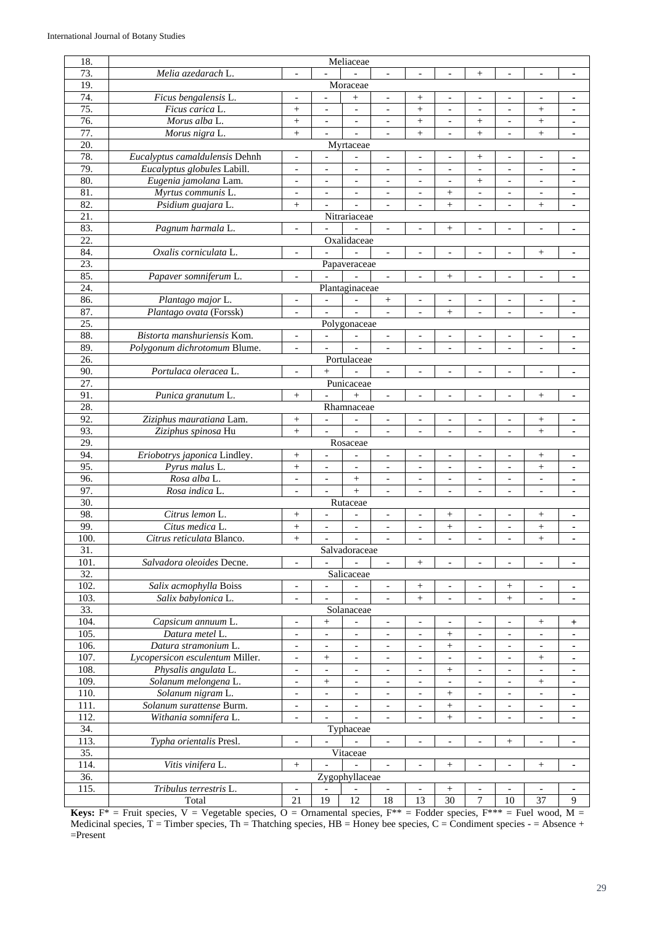| 18.               | Meliaceae                       |                          |                                  |                              |                              |                          |                          |                          |                          |                          |                |
|-------------------|---------------------------------|--------------------------|----------------------------------|------------------------------|------------------------------|--------------------------|--------------------------|--------------------------|--------------------------|--------------------------|----------------|
| 73.               | Melia azedarach L.              |                          |                                  |                              |                              | $\overline{\phantom{a}}$ |                          | $^{+}$                   | $\overline{a}$           | $\overline{a}$           | ٠              |
| 19.               |                                 |                          |                                  | Moraceae                     |                              |                          |                          |                          |                          |                          |                |
| 74.               | Ficus bengalensis L.            |                          |                                  | $^{+}$                       |                              | $\! +$                   |                          |                          |                          |                          | $\blacksquare$ |
| 75.               | Ficus carica L.                 | $^{+}$                   | $\blacksquare$                   | $\overline{\phantom{a}}$     | $\overline{\phantom{a}}$     | $^{+}$                   | $\overline{\phantom{a}}$ | $\blacksquare$           | $\blacksquare$           | $^{+}$                   | ä,             |
| 76.               | Morus alba L.                   | $^{+}$                   | $\overline{\phantom{a}}$         | $\overline{\phantom{a}}$     | $\overline{\phantom{a}}$     | $\! +$                   | $\overline{\phantom{a}}$ | $^{+}$                   | $\overline{\phantom{a}}$ | $\! + \!\!\!\!$          | $\blacksquare$ |
| 77.               | Morus nigra L.                  | $^{+}$                   |                                  |                              |                              | $^{+}$                   | $\overline{a}$           |                          | $\frac{1}{2}$            | $^{+}$                   |                |
| 20.               |                                 |                          |                                  |                              |                              |                          |                          | $^{+}$                   |                          |                          | $\blacksquare$ |
|                   |                                 |                          |                                  | Myrtaceae                    |                              |                          |                          |                          |                          |                          |                |
| 78.               | Eucalyptus camaldulensis Dehnh  | $\overline{\phantom{a}}$ | $\overline{\phantom{a}}$         | $\overline{\phantom{a}}$     | $\overline{\phantom{a}}$     | $\overline{\phantom{a}}$ | $\overline{\phantom{a}}$ | $^{+}$                   | $\overline{a}$           | $\overline{\phantom{a}}$ | $\blacksquare$ |
| 79.               | Eucalyptus globules Labill.     | $\blacksquare$           | $\overline{\phantom{a}}$         | $\overline{\phantom{a}}$     | $\overline{a}$               | $\overline{\phantom{a}}$ | $\overline{\phantom{a}}$ | $\overline{\phantom{a}}$ | $\overline{\phantom{a}}$ | $\frac{1}{2}$            | ä,             |
| 80.               | Eugenia jamolana Lam.           | $\overline{\phantom{a}}$ | $\overline{\phantom{a}}$         | $\overline{\phantom{a}}$     | $\blacksquare$               | $\overline{\phantom{a}}$ | $\overline{\phantom{a}}$ | $^{+}$                   | $\overline{\phantom{a}}$ | $\overline{\phantom{a}}$ | ٠              |
| 81.               | Myrtus communis L.              | $\overline{\phantom{0}}$ | $\overline{\phantom{a}}$         | $\overline{\phantom{a}}$     |                              | $\overline{\phantom{a}}$ | $^{+}$                   | $\overline{\phantom{a}}$ | $\overline{\phantom{a}}$ | $\overline{\phantom{a}}$ | ٠              |
| 82.               | Psidium guajara L.              | $^{+}$                   | $\overline{\phantom{a}}$         |                              |                              | $\overline{\phantom{a}}$ | $^{+}$                   | $\overline{\phantom{a}}$ | $\overline{\phantom{a}}$ | $^{+}$                   | $\blacksquare$ |
| 21.               |                                 |                          |                                  | Nitrariaceae                 |                              |                          |                          |                          |                          |                          |                |
| 83.               | Pagnum harmala L.               | $\blacksquare$           |                                  |                              | $\overline{\phantom{a}}$     | $\overline{\phantom{0}}$ | $^{+}$                   |                          | $\overline{a}$           | $\overline{a}$           | $\blacksquare$ |
| 22.               |                                 |                          |                                  | Oxalidaceae                  |                              |                          |                          |                          |                          |                          |                |
| 84.               | Oxalis corniculata L.           | $\overline{\phantom{a}}$ |                                  |                              | $\qquad \qquad \blacksquare$ | $\overline{\phantom{a}}$ | $\overline{\phantom{a}}$ | $\overline{\phantom{a}}$ | $\overline{a}$           | $\! + \!\!\!\!$          | $\blacksquare$ |
| 23.               |                                 |                          |                                  | Papaveraceae                 |                              |                          |                          |                          |                          |                          |                |
| 85.               | Papaver somniferum L.           | $\overline{a}$           |                                  |                              | $\overline{\phantom{a}}$     | $\blacksquare$           | $\! + \!\!\!\!$          | $\overline{a}$           | $\overline{a}$           | $\overline{\phantom{a}}$ | $\blacksquare$ |
| 24.               |                                 |                          |                                  | Plantaginaceae               |                              |                          |                          |                          |                          |                          |                |
| 86.               | Plantago major L.               |                          | $\blacksquare$                   | $\overline{a}$               |                              | $\overline{a}$           |                          |                          |                          |                          | ٠              |
| 87.               | Plantago ovata (Forssk)         | $\overline{\phantom{a}}$ | $\overline{a}$                   |                              |                              | $\overline{\phantom{a}}$ | $^{+}$                   | $\overline{\phantom{a}}$ |                          | $\overline{a}$           | ٠              |
| 25.               |                                 |                          |                                  | Polygonaceae                 |                              |                          |                          |                          |                          |                          |                |
| 88.               | Bistorta manshuriensis Kom.     | $\overline{\phantom{a}}$ | $\blacksquare$                   |                              | $\overline{\phantom{a}}$     | $\overline{\phantom{a}}$ | $\overline{\phantom{a}}$ | $\overline{a}$           | $\overline{\phantom{a}}$ | $\overline{\phantom{a}}$ | ٠              |
| 89.               | Polygonum dichrotomum Blume.    |                          |                                  |                              |                              | $\overline{\phantom{a}}$ |                          |                          |                          |                          |                |
| $\overline{26}$   |                                 |                          |                                  | Portulaceae                  |                              |                          |                          |                          |                          |                          |                |
| 90.               | Portulaca oleracea L.           | $\overline{\phantom{a}}$ | $^{+}$                           |                              | $\overline{\phantom{a}}$     | $\overline{\phantom{a}}$ | $\overline{\phantom{a}}$ | $\overline{\phantom{a}}$ | $\frac{1}{2}$            | $\overline{\phantom{a}}$ |                |
| 27.               |                                 |                          |                                  | Punicaceae                   |                              |                          |                          |                          |                          |                          | $\blacksquare$ |
| 91.               |                                 |                          | $\overline{\phantom{a}}$         |                              |                              |                          |                          |                          |                          |                          |                |
|                   | Punica granutum L.              | $\! + \!\!\!\!$          |                                  | $+$                          | $\overline{\phantom{a}}$     | $\overline{\phantom{a}}$ | $\overline{\phantom{a}}$ | $\blacksquare$           | $\overline{\phantom{a}}$ | $^{+}$                   | ٠              |
| 28.               |                                 |                          |                                  | Rhamnaceae                   |                              |                          |                          |                          |                          |                          |                |
| 92.               | Ziziphus mauratiana Lam.        | $^{+}$                   | $\overline{\phantom{a}}$         | $\overline{\phantom{0}}$     | $\blacksquare$               | $\blacksquare$           | $\overline{\phantom{a}}$ | $\overline{\phantom{a}}$ | $\frac{1}{2}$            | $\! + \!\!\!\!$          | ٠              |
| 93.               | Ziziphus spinosa Hu             | $^{+}$                   | $\blacksquare$                   | $\overline{\phantom{a}}$     | $\overline{\phantom{a}}$     | $\overline{\phantom{a}}$ | $\overline{\phantom{a}}$ | $\overline{\phantom{a}}$ | $\overline{\phantom{a}}$ | $^{+}$                   | $\blacksquare$ |
| 29.               |                                 |                          |                                  | Rosaceae                     |                              |                          |                          |                          |                          |                          |                |
| 94.               | Eriobotrys japonica Lindley.    | $\! +$                   | $\overline{\phantom{a}}$         | $\overline{\phantom{a}}$     | $\overline{\phantom{0}}$     | $\overline{\phantom{a}}$ | $\overline{\phantom{a}}$ | $\overline{\phantom{a}}$ | $\overline{a}$           | $^{+}$                   | ٠              |
| 95.               | Pyrus malus L.                  | $^{+}$                   | $\overline{\phantom{a}}$         | $\overline{\phantom{a}}$     | $\overline{\phantom{a}}$     | $\overline{\phantom{a}}$ | $\overline{\phantom{a}}$ | $\overline{\phantom{a}}$ | $\overline{\phantom{a}}$ | $^{+}$                   | $\blacksquare$ |
| 96.               | Rosa alba L.                    | $\frac{1}{2}$            | $\overline{\phantom{a}}$         | $\ddot{}$                    | $\overline{\phantom{a}}$     | $\overline{\phantom{a}}$ | $\overline{a}$           | $\overline{\phantom{a}}$ | $\overline{\phantom{a}}$ | $\overline{a}$           | ä,             |
| 97.               | Rosa indica L.                  | $\blacksquare$           | $\overline{\phantom{a}}$         | $+$                          | $\blacksquare$               | $\overline{\phantom{a}}$ | $\overline{\phantom{a}}$ | $\blacksquare$           | $\overline{\phantom{a}}$ | $\overline{\phantom{a}}$ | ٠              |
| 30.               |                                 |                          |                                  | Rutaceae                     |                              |                          |                          |                          |                          |                          |                |
| 98.               | Citrus lemon L.                 | $^{+}$                   | $\overline{a}$                   |                              | $\overline{\phantom{a}}$     | $\overline{\phantom{a}}$ | $\! + \!\!\!\!$          | $\overline{\phantom{a}}$ | $\overline{\phantom{a}}$ | $^{+}$                   | ٠              |
| 99.               | Citus medica L.                 | $^{+}$                   | $\overline{\phantom{a}}$         | $\qquad \qquad \blacksquare$ | $\overline{\phantom{a}}$     | $\blacksquare$           | $^{+}$                   | $\overline{\phantom{a}}$ | $\overline{\phantom{a}}$ | $^{+}$                   | $\blacksquare$ |
| 100.              | Citrus reticulata Blanco.       | $\ddot{}$                |                                  |                              |                              | $\overline{a}$           |                          | $\overline{\phantom{a}}$ |                          | $\ddot{}$                |                |
| 31.               |                                 |                          |                                  | Salvadoraceae                |                              |                          |                          |                          |                          |                          |                |
| 101.              | Salvadora oleoides Decne.       | $\overline{\phantom{a}}$ |                                  |                              | $\overline{\phantom{a}}$     | $\! + \!\!\!\!$          | $\overline{\phantom{a}}$ | $\overline{\phantom{a}}$ | $\overline{\phantom{a}}$ | $\overline{\phantom{a}}$ | $\blacksquare$ |
| $\overline{32}$ . |                                 |                          |                                  | Salicaceae                   |                              |                          |                          |                          |                          |                          |                |
| 102.              | Salix acmophylla Boiss          | $\overline{\phantom{a}}$ | $\blacksquare$                   | $\overline{\phantom{a}}$     | $\overline{\phantom{a}}$     | $^{+}$                   | $\overline{\phantom{a}}$ |                          | $^{+}$                   | $\blacksquare$           | ۰              |
| 103.              | Salix babylonica L.             | $\overline{\phantom{a}}$ |                                  |                              |                              | $^{+}$                   |                          |                          | $^{+}$                   |                          | ٠              |
| 33.               |                                 |                          |                                  | Solanaceae                   |                              |                          |                          |                          |                          |                          |                |
| 104.              | Capsicum annuum L.              | $\overline{\phantom{a}}$ | $\! + \!\!\!\!$                  |                              | $\overline{\phantom{a}}$     | $\overline{\phantom{a}}$ | $\overline{\phantom{a}}$ | $\overline{\phantom{a}}$ | $\overline{\phantom{a}}$ | $\! + \!\!\!\!$          | $\ddot{}$      |
| 105.              | Datura metel L.                 | $\overline{\phantom{a}}$ | $\overline{\phantom{a}}$         | $\overline{\phantom{a}}$     | $\overline{\phantom{a}}$     | $\overline{\phantom{a}}$ | $^+$                     | $\overline{\phantom{a}}$ | $\overline{\phantom{a}}$ | $\overline{\phantom{a}}$ | ٠              |
| 106.              | Datura stramonium L.            | $\overline{\phantom{a}}$ | $\overline{\phantom{a}}$         | $\overline{\phantom{a}}$     | $\overline{\phantom{a}}$     | $\overline{\phantom{a}}$ | $\! + \!\!\!\!$          | $\overline{\phantom{a}}$ | $\overline{\phantom{a}}$ | $\overline{\phantom{a}}$ | ٠              |
| 107.              | Lycopersicon esculentum Miller. | $\overline{\phantom{a}}$ | $\begin{array}{c} + \end{array}$ | $\overline{\phantom{a}}$     | $\overline{\phantom{a}}$     | $\overline{\phantom{a}}$ |                          | $\blacksquare$           |                          | $^{+}$                   |                |
| 108.              | Physalis angulata L.            | $\blacksquare$           | $\overline{\phantom{a}}$         | $\overline{\phantom{a}}$     | $\overline{\phantom{a}}$     | $\overline{\phantom{a}}$ | $\boldsymbol{+}$         | $\overline{\phantom{a}}$ | $\blacksquare$           | $\overline{\phantom{a}}$ | $\blacksquare$ |
| 109.              | Solanum melongena L.            | $\overline{\phantom{a}}$ | $^{+}$                           | $\overline{\phantom{a}}$     | $\overline{\phantom{a}}$     | $\overline{\phantom{a}}$ | $\overline{\phantom{a}}$ | $\overline{\phantom{a}}$ | $\overline{\phantom{a}}$ | $\! + \!\!\!\!$          | $\blacksquare$ |
| 110.              | Solanum nigram L.               | $\overline{\phantom{a}}$ | $\overline{\phantom{a}}$         | $\qquad \qquad -$            | $\overline{\phantom{a}}$     | $\overline{\phantom{a}}$ |                          | $\overline{\phantom{a}}$ | $\overline{\phantom{a}}$ | $\overline{\phantom{a}}$ | ٠              |
| 111.              | Solanum surattense Burm.        | $\overline{\phantom{a}}$ | $\overline{\phantom{a}}$         | $\overline{\phantom{a}}$     | $\overline{\phantom{a}}$     | $\overline{\phantom{a}}$ | $\! + \!\!\!\!$          | $\overline{\phantom{a}}$ | $\overline{\phantom{a}}$ | $\overline{\phantom{a}}$ | ٠              |
| 112.              | Withania somnifera L.           | $\overline{\phantom{a}}$ |                                  |                              | $\overline{\phantom{a}}$     | $\overline{\phantom{a}}$ | $^{+}$                   | $\overline{\phantom{a}}$ | $\overline{\phantom{a}}$ | $\overline{\phantom{a}}$ | ٠              |
| 34.               |                                 |                          |                                  | Typhaceae                    |                              |                          |                          |                          |                          |                          |                |
| 113.              | Typha orientalis Presl.         |                          |                                  |                              |                              |                          |                          |                          |                          |                          |                |
|                   |                                 | $\blacksquare$           |                                  |                              | $\overline{\phantom{a}}$     | $\overline{\phantom{a}}$ | $\overline{\phantom{a}}$ |                          | $^{+}$                   | $\overline{\phantom{a}}$ | $\blacksquare$ |
| 35.               |                                 |                          |                                  | Vitaceae                     |                              |                          |                          |                          |                          |                          |                |
| 114.              | Vitis vinifera L.               | $^+$                     |                                  |                              | $\overline{\phantom{a}}$     | $\overline{\phantom{a}}$ | $\! + \!\!\!\!$          | $\overline{\phantom{a}}$ | $\overline{\phantom{a}}$ | $\! + \!\!\!\!$          | $\blacksquare$ |
| 36.               |                                 |                          |                                  | Zygophyllaceae               |                              |                          |                          |                          |                          |                          |                |
| 115.              | Tribulus terrestris L.          |                          |                                  |                              |                              | $\overline{\phantom{a}}$ |                          |                          |                          | $\overline{a}$           | $\blacksquare$ |
|                   | Total                           | 21                       | $\overline{19}$                  | $\overline{12}$              | 18                           | $\overline{13}$          | $\overline{30}$          | $\overline{7}$           | 10                       | 37                       | 9              |

**Keys:**  $F^* =$  Fruit species,  $V =$  Vegetable species,  $O =$  Ornamental species,  $F^{**} =$  Fodder species,  $F^{***} =$  Fuel wood, M = Medicinal species,  $T =$  Timber species,  $Th =$  Thatching species,  $HB =$  Honey bee species,  $C =$  Condiment species -  $=$  Absence + =Present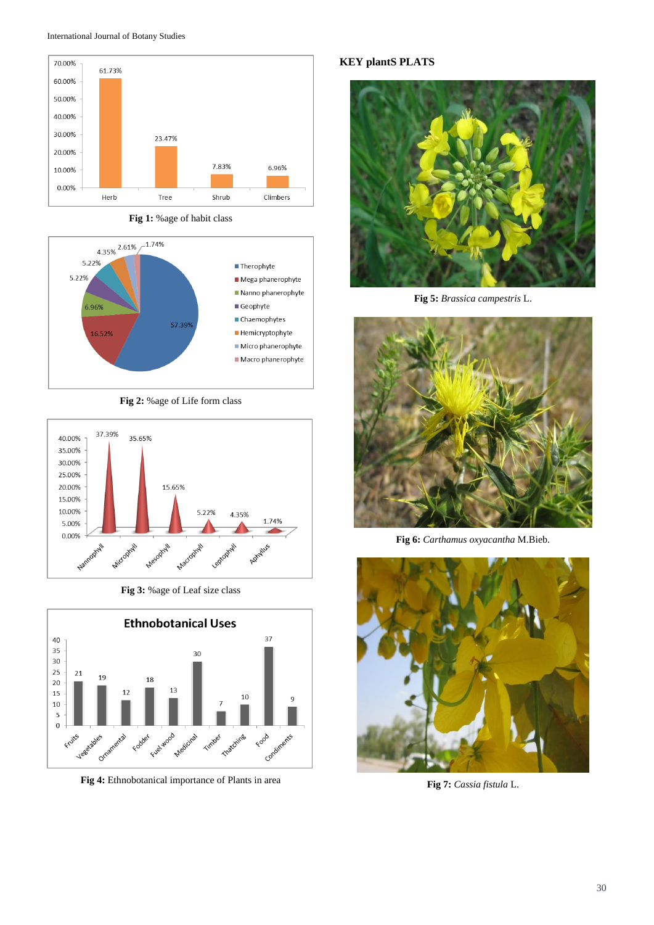



**Fig 1:** %age of habit class



**Fig 2:** %age of Life form class



**Fig 3:** %age of Leaf size class



**Fig 4:** Ethnobotanical importance of Plants in area

**KEY plantS PLATS**



**Fig 5:** *Brassica campestris* L.



**Fig 6:** *Carthamus oxyacantha* M.Bieb.



**Fig 7:** *Cassia fistula* L.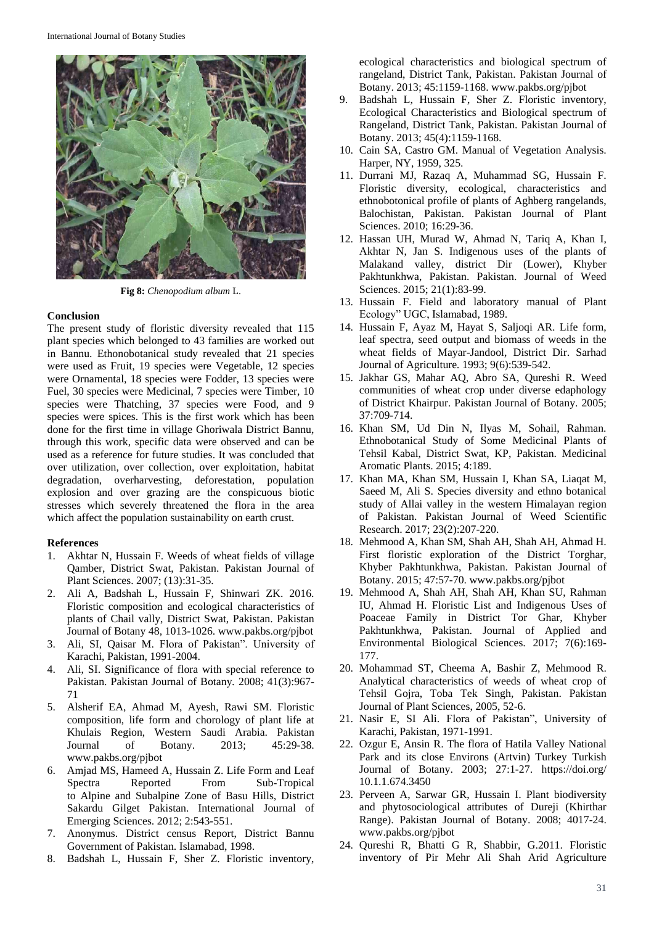

**Fig 8:** *Chenopodium album* L.

## **Conclusion**

The present study of floristic diversity revealed that 115 plant species which belonged to 43 families are worked out in Bannu. Ethonobotanical study revealed that 21 species were used as Fruit, 19 species were Vegetable, 12 species were Ornamental, 18 species were Fodder, 13 species were Fuel, 30 species were Medicinal, 7 species were Timber, 10 species were Thatching, 37 species were Food, and 9 species were spices. This is the first work which has been done for the first time in village Ghoriwala District Bannu, through this work, specific data were observed and can be used as a reference for future studies. It was concluded that over utilization, over collection, over exploitation, habitat degradation, overharvesting, deforestation, population explosion and over grazing are the conspicuous biotic stresses which severely threatened the flora in the area which affect the population sustainability on earth crust.

#### **References**

- 1. Akhtar N, Hussain F. Weeds of wheat fields of village Qamber, District Swat, Pakistan. Pakistan Journal of Plant Sciences. 2007; (13):31-35.
- 2. Ali A, Badshah L, Hussain F, Shinwari ZK. 2016. Floristic composition and ecological characteristics of plants of Chail vally, District Swat, Pakistan. Pakistan Journal of Botany 48, 1013-1026. www.pakbs.org/pjbot
- 3. Ali, SI, Qaisar M. Flora of Pakistan". University of Karachi, Pakistan, 1991-2004.
- 4. Ali, SI. Significance of flora with special reference to Pakistan. Pakistan Journal of Botany*.* 2008; 41(3):967- 71
- 5. Alsherif EA, Ahmad M, Ayesh, Rawi SM. Floristic composition, life form and chorology of plant life at Khulais Region, Western Saudi Arabia. Pakistan Journal of Botany. 2013; 45:29-38. www.pakbs.org/pjbot
- 6. Amjad MS, Hameed A, Hussain Z. Life Form and Leaf Spectra Reported From Sub-Tropical to Alpine and Subalpine Zone of Basu Hills, District Sakardu Gilget Pakistan. International Journal of Emerging Sciences. 2012; 2:543-551.
- 7. Anonymus. District census Report, District Bannu Government of Pakistan. Islamabad, 1998.
- 8. Badshah L, Hussain F, Sher Z. Floristic inventory,

ecological characteristics and biological spectrum of rangeland, District Tank, Pakistan. Pakistan Journal of Botany. 2013; 45:1159-1168. www.pakbs.org/pjbot

- 9. Badshah L, Hussain F, Sher Z. Floristic inventory, Ecological Characteristics and Biological spectrum of Rangeland, District Tank, Pakistan. Pakistan Journal of Botany. 2013; 45(4):1159-1168.
- 10. Cain SA, Castro GM. Manual of Vegetation Analysis. Harper, NY, 1959, 325.
- 11. Durrani MJ, Razaq A, Muhammad SG, Hussain F. Floristic diversity, ecological, characteristics and ethnobotonical profile of plants of Aghberg rangelands, Balochistan, Pakistan. Pakistan Journal of Plant Sciences. 2010; 16:29-36.
- 12. Hassan UH, Murad W, Ahmad N, Tariq A, Khan I, Akhtar N, Jan S. Indigenous uses of the plants of Malakand valley, district Dir (Lower), Khyber Pakhtunkhwa, Pakistan. Pakistan. Journal of Weed Sciences. 2015; 21(1):83-99.
- 13. Hussain F. Field and laboratory manual of Plant Ecology" UGC, Islamabad, 1989.
- 14. Hussain F, Ayaz M, Hayat S, Saljoqi AR. Life form, leaf spectra, seed output and biomass of weeds in the wheat fields of Mayar-Jandool, District Dir. Sarhad Journal of Agriculture*.* 1993; 9(6):539-542.
- 15. Jakhar GS, Mahar AQ, Abro SA, Qureshi R. Weed communities of wheat crop under diverse edaphology of District Khairpur. Pakistan Journal of Botany. 2005; 37:709-714.
- 16. Khan SM, Ud Din N, Ilyas M, Sohail, Rahman. Ethnobotanical Study of Some Medicinal Plants of Tehsil Kabal, District Swat, KP, Pakistan. Medicinal Aromatic Plants. 2015; 4:189.
- 17. Khan MA, Khan SM, Hussain I, Khan SA, Liaqat M, Saeed M, Ali S. Species diversity and ethno botanical study of Allai valley in the western Himalayan region of Pakistan. Pakistan Journal of Weed Scientific Research. 2017; 23(2):207-220.
- 18. Mehmood A, Khan SM, Shah AH, Shah AH, Ahmad H. First floristic exploration of the District Torghar, Khyber Pakhtunkhwa, Pakistan. Pakistan Journal of Botany. 2015; 47:57-70. www.pakbs.org/pjbot
- 19. Mehmood A, Shah AH, Shah AH, Khan SU, Rahman IU, Ahmad H. Floristic List and Indigenous Uses of Poaceae Family in District Tor Ghar, Khyber Pakhtunkhwa, Pakistan. Journal of Applied and Environmental Biological Sciences. 2017; 7(6):169- 177.
- 20. Mohammad ST, Cheema A, Bashir Z, Mehmood R. Analytical characteristics of weeds of wheat crop of Tehsil Gojra, Toba Tek Singh, Pakistan. Pakistan Journal of Plant Sciences, 2005, 52-6.
- 21. Nasir E, SI Ali. Flora of Pakistan", University of Karachi, Pakistan, 1971-1991.
- 22. Ozgur E, Ansin R. The flora of Hatila Valley National Park and its close Environs (Artvin) Turkey Turkish Journal of Botany. 2003; 27:1-27. https://doi.org/ 10.1.1.674.3450
- 23. Perveen A, Sarwar GR, Hussain I. Plant biodiversity and phytosociological attributes of Dureji (Khirthar Range). Pakistan Journal of Botany. 2008; 4017-24. www.pakbs.org/pjbot
- 24. Qureshi R, Bhatti G R, Shabbir, G.2011. Floristic inventory of Pir Mehr Ali Shah Arid Agriculture